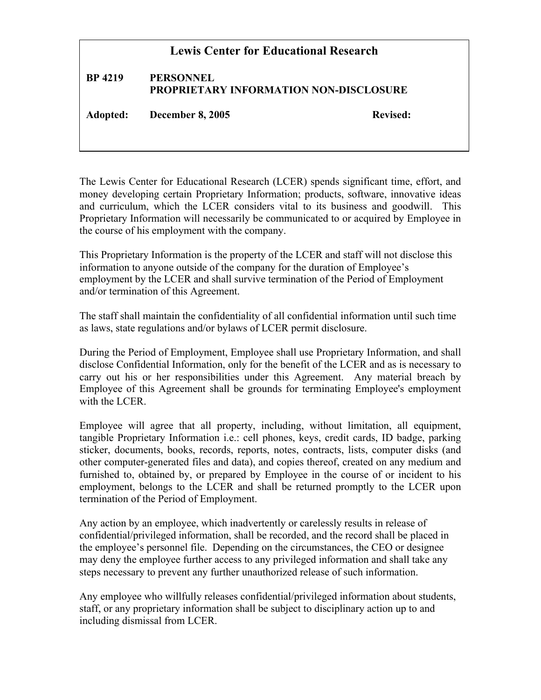## **Lewis Center for Educational Research**

## **BP 4219 PERSONNEL PROPRIETARY INFORMATION NON-DISCLOSURE**

**Adopted: December 8, 2005 Revised:**

The Lewis Center for Educational Research (LCER) spends significant time, effort, and money developing certain Proprietary Information; products, software, innovative ideas and curriculum, which the LCER considers vital to its business and goodwill. This Proprietary Information will necessarily be communicated to or acquired by Employee in the course of his employment with the company.

This Proprietary Information is the property of the LCER and staff will not disclose this information to anyone outside of the company for the duration of Employee's employment by the LCER and shall survive termination of the Period of Employment and/or termination of this Agreement.

The staff shall maintain the confidentiality of all confidential information until such time as laws, state regulations and/or bylaws of LCER permit disclosure.

During the Period of Employment, Employee shall use Proprietary Information, and shall disclose Confidential Information, only for the benefit of the LCER and as is necessary to carry out his or her responsibilities under this Agreement. Any material breach by Employee of this Agreement shall be grounds for terminating Employee's employment with the LCER.

Employee will agree that all property, including, without limitation, all equipment, tangible Proprietary Information i.e.: cell phones, keys, credit cards, ID badge, parking sticker, documents, books, records, reports, notes, contracts, lists, computer disks (and other computer-generated files and data), and copies thereof, created on any medium and furnished to, obtained by, or prepared by Employee in the course of or incident to his employment, belongs to the LCER and shall be returned promptly to the LCER upon termination of the Period of Employment.

Any action by an employee, which inadvertently or carelessly results in release of confidential/privileged information, shall be recorded, and the record shall be placed in the employee's personnel file. Depending on the circumstances, the CEO or designee may deny the employee further access to any privileged information and shall take any steps necessary to prevent any further unauthorized release of such information.

Any employee who willfully releases confidential/privileged information about students, staff, or any proprietary information shall be subject to disciplinary action up to and including dismissal from LCER.